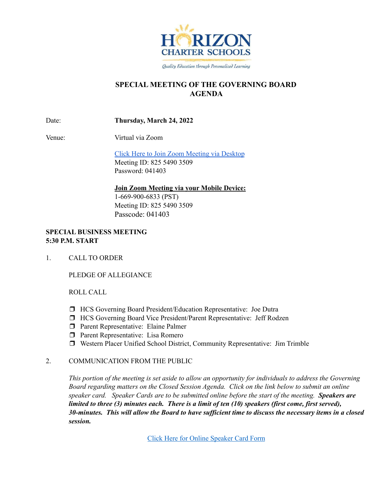

Quality Education through Personalized Learning

# **SPECIAL MEETING OF THE GOVERNING BOARD AGENDA**

Date: **Thursday, March 24, 2022**

Venue: Virtual via Zoom

Click Here to Join Zoom [Meeting](https://hcseagles-org.zoom.us/j/82554903509?pwd=aXZLd0lZdnR4V1JieGM0dFJQSFZWQT09) via Desktop Meeting ID: 825 5490 3509 Password: 041403

### **Join Zoom Meeting via your Mobile Device:**

1-669-900-6833 (PST) Meeting ID: 825 5490 3509 Passcode: 041403

### **SPECIAL BUSINESS MEETING 5:30 P.M. START**

1. CALL TO ORDER

PLEDGE OF ALLEGIANCE

ROLL CALL

- ❒ HCS Governing Board President/Education Representative: Joe Dutra
- ❒ HCS Governing Board Vice President/Parent Representative: Jeff Rodzen
- ❒ Parent Representative: Elaine Palmer
- ❒ Parent Representative: Lisa Romero
- ❒ Western Placer Unified School District, Community Representative: Jim Trimble

### 2. COMMUNICATION FROM THE PUBLIC

This portion of the meeting is set aside to allow an opportunity for individuals to address the Governing *Board regarding matters on the Closed Session Agenda. Click on the link below to submit an online speaker card. Speaker Cards are to be submitted online before the start of the meeting. Speakers are* limited to three (3) minutes each. There is a limit of ten (10) speakers (first come, first served), 30-minutes. This will allow the Board to have sufficient time to discuss the necessary items in a closed *session.*

Click Here for Online [Speaker](https://forms.gle/1Ad7NmftiSuScxKCA) Card Form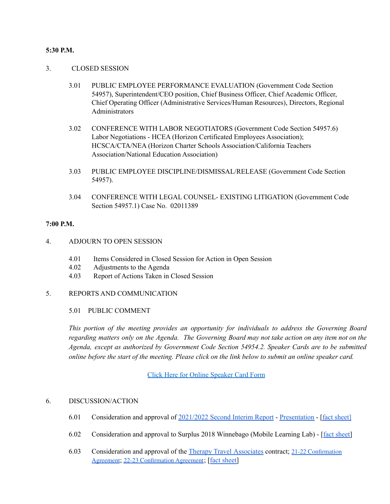#### **5:30 P.M.**

#### 3. CLOSED SESSION

- 3.01 PUBLIC EMPLOYEE PERFORMANCE EVALUATION (Government Code Section 54957), Superintendent/CEO position, Chief Business Officer, Chief Academic Officer, Chief Operating Officer (Administrative Services/Human Resources), Directors, Regional Administrators
- 3.02 CONFERENCE WITH LABOR NEGOTIATORS (Government Code Section 54957.6) Labor Negotiations - HCEA (Horizon Certificated Employees Association); HCSCA/CTA/NEA (Horizon Charter Schools Association/California Teachers Association/National Education Association)
- 3.03 PUBLIC EMPLOYEE DISCIPLINE/DISMISSAL/RELEASE (Government Code Section 54957).
- 3.04 CONFERENCE WITH LEGAL COUNSEL- EXISTING LITIGATION (Government Code Section 54957.1) Case No. 02011389

#### **7:00 P.M.**

- 4. ADJOURN TO OPEN SESSION
	- 4.01 Items Considered in Closed Session for Action in Open Session
	- 4.02 Adjustments to the Agenda
	- 4.03 Report of Actions Taken in Closed Session

#### 5. REPORTS AND COMMUNICATION

#### 5.01 PUBLIC COMMENT

*This portion of the meeting provides an opportunity for individuals to address the Governing Board* regarding matters only on the Agenda. The Governing Board may not take action on any item not on the *Agenda, except as authorized by Government Code Section 54954.2. Speaker Cards are to be submitted* online before the start of the meeting. Please click on the link below to submit an online speaker card.

Click Here for Online [Speaker](https://forms.gle/1Ad7NmftiSuScxKCA) Card Form

#### 6. DISCUSSION/ACTION

- 6.01 Consideration and approval of [2021/2022](https://drive.google.com/file/d/126xayQ4eHO8CMX9b44iW1ZmnGuD38nWm/view?usp=sharing) Second Interim Report [Presentation](https://docs.google.com/presentation/d/1ydx9H5ty4tocIe0ObHRpNSJkASATi0oUMf7vv68Toe4/edit?usp=sharing) [fact [sheet](https://docs.google.com/document/d/1_UivZMsBb8WuijkHl3IvQlwDrxoidg2SvvqdL3TMrM0/edit?usp=sharing)[\]](https://docs.google.com/document/d/1Yrcds6m7o-dWIXGyRrnuQeJ5-zATBKv_TDWFCPkbndw/edit?usp=sharing)
- 6.02 Consideration and approval to Surplus 2018 Winnebago (Mobile Learning Lab) [fact [sheet\]](https://docs.google.com/document/d/1Iaslvy8BKUWGLSjEZKAHz8GEniexcVYTrcXvXRHckRE/edit?usp=sharing)
- 6.03 Consideration and approval of the Therapy Travel [Associates](https://drive.google.com/file/d/12AdGFFegLX6yc89RySKXVcr759Tsagwo/view?usp=sharing) contract; 21-22 [Confirmation](https://drive.google.com/file/d/12FtukBV8R04TWP5oMRS8N96Ak2eL2jPi/view?usp=sharing) [Agreement](https://drive.google.com/file/d/12FtukBV8R04TWP5oMRS8N96Ak2eL2jPi/view?usp=sharing); 22-23 [Confirmation](https://drive.google.com/file/d/12BoouO67KJYDyofX8mjQr-DPx2rQd24_/view?usp=sharing) Agreement; [fact [sheet\]](https://docs.google.com/document/d/1xXEGg-3xCOWFh4H2uOTGRolUtUNT9f_kFEM49IogD0M/edit?usp=sharing)